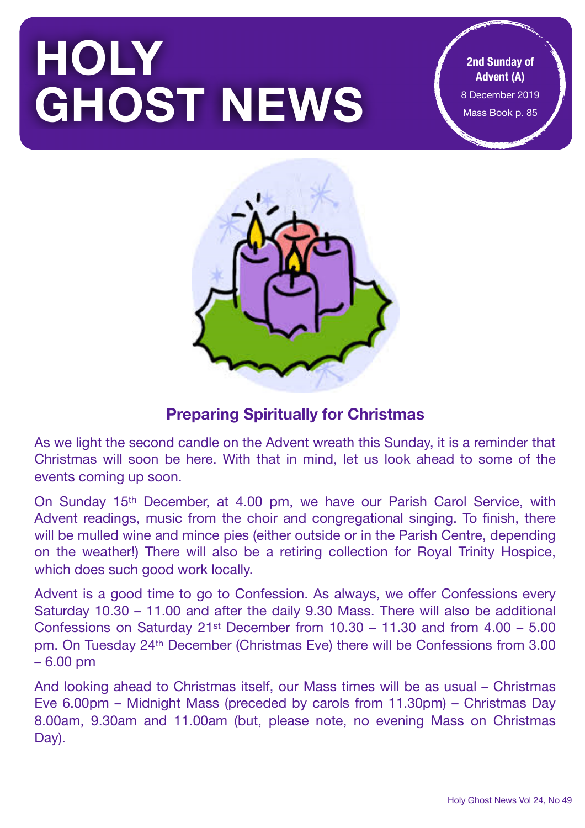# **HOLY GHOST NEWS**

**2nd Sunday of Advent (A)**  8 December 2019 Mass Book p. 85



# **Preparing Spiritually for Christmas**

As we light the second candle on the Advent wreath this Sunday, it is a reminder that Christmas will soon be here. With that in mind, let us look ahead to some of the events coming up soon.

On Sunday 15th December, at 4.00 pm, we have our Parish Carol Service, with Advent readings, music from the choir and congregational singing. To finish, there will be mulled wine and mince pies (either outside or in the Parish Centre, depending on the weather!) There will also be a retiring collection for Royal Trinity Hospice, which does such good work locally.

Advent is a good time to go to Confession. As always, we offer Confessions every Saturday 10.30 – 11.00 and after the daily 9.30 Mass. There will also be additional Confessions on Saturday 21st December from 10.30 – 11.30 and from 4.00 – 5.00 pm. On Tuesday 24th December (Christmas Eve) there will be Confessions from 3.00 – 6.00 pm

And looking ahead to Christmas itself, our Mass times will be as usual – Christmas Eve 6.00pm – Midnight Mass (preceded by carols from 11.30pm) – Christmas Day 8.00am, 9.30am and 11.00am (but, please note, no evening Mass on Christmas Day).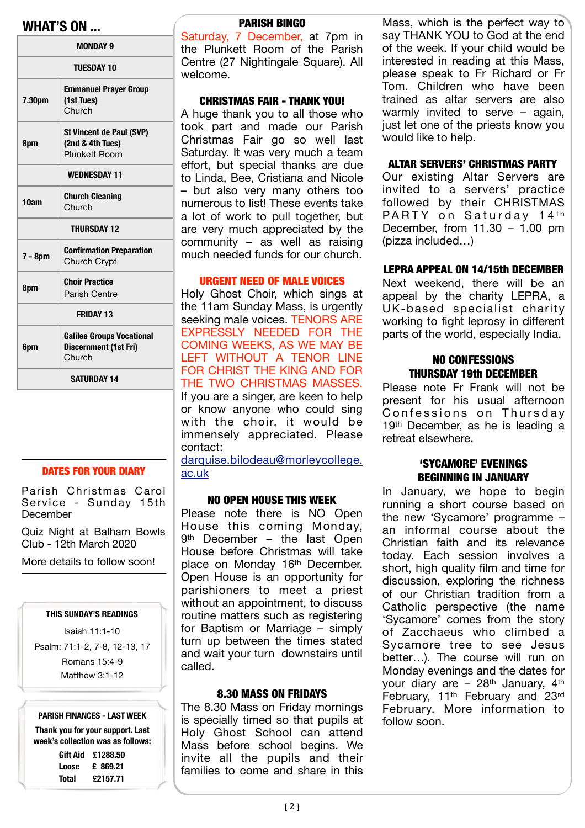# **WHAT'S ON ...** PARISH BINGO

| <b>MONDAY 9</b>                                                                   |                                                               |  |  |  |  |
|-----------------------------------------------------------------------------------|---------------------------------------------------------------|--|--|--|--|
| <b>TUESDAY 10</b>                                                                 |                                                               |  |  |  |  |
| 7.30pm                                                                            | <b>Emmanuel Prayer Group</b><br>(1st Tues)<br>Church          |  |  |  |  |
| 8pm                                                                               | St Vincent de Paul (SVP)<br>(2nd & 4th Tues)<br>Plunkett Room |  |  |  |  |
| <b>WEDNESDAY 11</b>                                                               |                                                               |  |  |  |  |
| 10am                                                                              | <b>Church Cleaning</b><br>Church                              |  |  |  |  |
| <b>THURSDAY 12</b>                                                                |                                                               |  |  |  |  |
| 7 - 8pm                                                                           | <b>Confirmation Preparation</b><br><b>Church Crypt</b>        |  |  |  |  |
| <b>Choir Practice</b><br>8pm<br>Parish Centre                                     |                                                               |  |  |  |  |
| <b>FRIDAY 13</b>                                                                  |                                                               |  |  |  |  |
| <b>Galilee Groups Vocational</b><br><b>Discernment (1st Fri)</b><br>6pm<br>Church |                                                               |  |  |  |  |
| <b>SATURDAY 14</b>                                                                |                                                               |  |  |  |  |

#### DATES FOR YOUR DIARY

Parish Christmas Carol Service - Sunday 15th **December** 

Quiz Night at Balham Bowls Club - 12th March 2020

More details to follow soon!

#### **THIS SUNDAY'S READINGS**

Isaiah 11:1-10

Psalm: 71:1-2, 7-8, 12-13, 17 Romans 15:4-9

Matthew 3:1-12

#### **PARISH FINANCES - LAST WEEK**

**Thank you for your support. Last week's collection was as follows: Gift Aid £1288.50 Loose £ 869.21 Total £2157.71** 

Saturday, 7 December, at 7pm in the Plunkett Room of the Parish Centre (27 Nightingale Square). All welcome.

#### CHRISTMAS FAIR - THANK YOU!

A huge thank you to all those who took part and made our Parish Christmas Fair go so well last Saturday. It was very much a team effort, but special thanks are due to Linda, Bee, Cristiana and Nicole – but also very many others too numerous to list! These events take a lot of work to pull together, but are very much appreciated by the community – as well as raising much needed funds for our church.

#### URGENT NEED OF MALE VOICES

Holy Ghost Choir, which sings at the 11am Sunday Mass, is urgently seeking male voices. TENORS ARE EXPRESSLY NEEDED FOR THE COMING WEEKS, AS WE MAY BE LEFT WITHOUT A TENOR LINE FOR CHRIST THE KING AND FOR THE TWO CHRISTMAS MASSES. If you are a singer, are keen to help or know anyone who could sing with the choir, it would be immensely appreciated. Please contact:

[darquise.bilodeau@morleycollege.](mailto:darquise.bilodeau@morleycollege.ac.uk) [ac.uk](mailto:darquise.bilodeau@morleycollege.ac.uk)

#### NO OPEN HOUSE THIS WEEK

Please note there is NO Open House this coming Monday, 9th December – the last Open House before Christmas will take place on Monday 16th December. Open House is an opportunity for parishioners to meet a priest without an appointment, to discuss routine matters such as registering for Baptism or Marriage – simply turn up between the times stated and wait your turn downstairs until called.

#### 8.30 MASS ON FRIDAYS

The 8.30 Mass on Friday mornings is specially timed so that pupils at Holy Ghost School can attend Mass before school begins. We invite all the pupils and their families to come and share in this

Mass, which is the perfect way to say THANK YOU to God at the end of the week. If your child would be interested in reading at this Mass, please speak to Fr Richard or Fr Tom. Children who have been trained as altar servers are also warmly invited to serve – again, just let one of the priests know you would like to help.

#### ALTAR SERVERS' CHRISTMAS PARTY

Our existing Altar Servers are invited to a servers' practice followed by their CHRISTMAS PARTY on Saturday 14<sup>th</sup> December, from  $11.30 - 1.00$  pm (pizza included…)

#### LEPRA APPEAL ON 14/15th DECEMBER

Next weekend, there will be an appeal by the charity LEPRA, a UK-based specialist charity working to fight leprosy in different parts of the world, especially India.

#### NO CONFESSIONS THURSDAY 19th DECEMBER

Please note Fr Frank will not be present for his usual afternoon Confessions on Thursday 19<sup>th</sup> December, as he is leading a retreat elsewhere.

#### 'SYCAMORE' EVENINGS BEGINNING IN JANUARY

In January, we hope to begin running a short course based on the new 'Sycamore' programme – an informal course about the Christian faith and its relevance today. Each session involves a short, high quality film and time for discussion, exploring the richness of our Christian tradition from a Catholic perspective (the name 'Sycamore' comes from the story of Zacchaeus who climbed a Sycamore tree to see Jesus better…). The course will run on Monday evenings and the dates for your diary are - 28<sup>th</sup> January, 4<sup>th</sup> February, 11th February and 23rd February. More information to follow soon.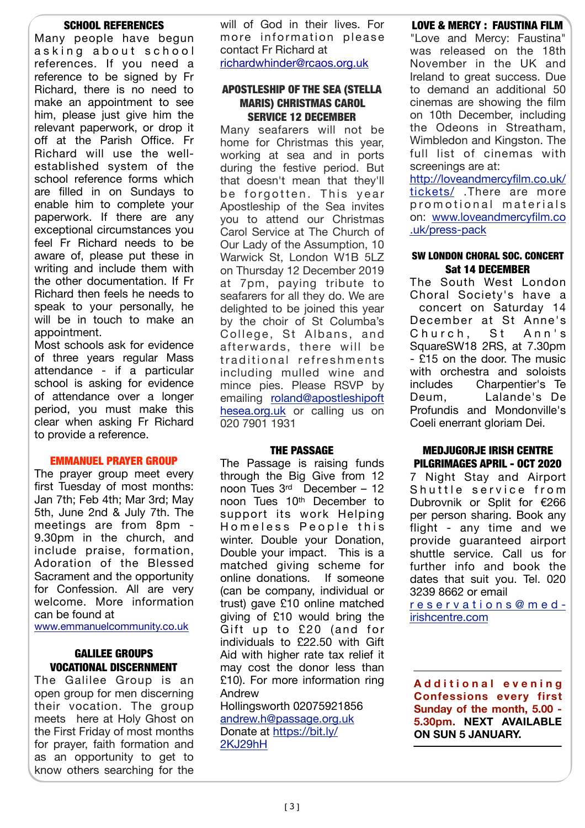#### SCHOOL REFERENCES

Many people have begun asking about school references. If you need a reference to be signed by Fr Richard, there is no need to make an appointment to see him, please just give him the relevant paperwork, or drop it off at the Parish Office. Fr Richard will use the wellestablished system of the school reference forms which are filled in on Sundays to enable him to complete your paperwork. If there are any exceptional circumstances you feel Fr Richard needs to be aware of, please put these in writing and include them with the other documentation. If Fr Richard then feels he needs to speak to your personally, he will be in touch to make an appointment.

Most schools ask for evidence of three years regular Mass attendance - if a particular school is asking for evidence of attendance over a longer period, you must make this clear when asking Fr Richard to provide a reference.

#### EMMANUEL PRAYER GROUP

The prayer group meet every first Tuesday of most months: Jan 7th; Feb 4th; Mar 3rd; May 5th, June 2nd & July 7th. The meetings are from 8pm - 9.30pm in the church, and include praise, formation, Adoration of the Blessed Sacrament and the opportunity for Confession. All are very welcome. More information can be found at

[www.emmanuelcommunity.co.uk](http://www.emmanuelcommunity.co.uk)

#### GALILEE GROUPS VOCATIONAL DISCERNMENT

The Galilee Group is an open group for men discerning their vocation. The group meets here at Holy Ghost on the First Friday of most months for prayer, faith formation and as an opportunity to get to know others searching for the will of God in their lives. For more information please contact Fr Richard at [richardwhinder@rcaos.org.uk](mailto:richardwhinder@rcaos.org.uk)

#### APOSTLESHIP OF THE SEA (STELLA MARIS) CHRISTMAS CAROL SERVICE 12 DECEMBER

Many seafarers will not be home for Christmas this year, working at sea and in ports during the festive period. But that doesn't mean that they'll be forgotten. This year Apostleship of the Sea invites you to attend our Christmas Carol Service at The Church of Our Lady of the Assumption, 10 Warwick St, London W1B 5LZ on Thursday 12 December 2019 at 7pm, paying tribute to seafarers for all they do. We are delighted to be joined this year by the choir of St Columba's College, St Albans, and afterwards, there will be traditional refreshments including mulled wine and mince pies. Please RSVP by emailing [roland@apostleshipoft](mailto:roland@apostleshipofthesea.org.uk?subject=Carol%20Service%20RSVP%22%20%5Ct%20%22_blank) [hesea.org.uk](mailto:roland@apostleshipofthesea.org.uk?subject=Carol%20Service%20RSVP%22%20%5Ct%20%22_blank) or calling us on 020 7901 1931

#### THE PASSAGE

The Passage is raising funds through the Big Give from 12 noon Tues 3rd December – 12 noon Tues 10th December to support its work Helping Homeless People this winter. Double your Donation, Double your impact. This is a matched giving scheme for online donations. If someone (can be company, individual or trust) gave £10 online matched giving of £10 would bring the Gift up to £20 (and for individuals to £22.50 with Gift Aid with higher rate tax relief it may cost the donor less than £10). For more information ring Andrew Hollingsworth 02075921856

andrew.h@passage.org.uk Donate at [https://bit.ly/](https://bit.ly/2KJ29hH) [2KJ29hH](https://bit.ly/2KJ29hH)

### LOVE & MERCY : FAUSTINA FILM

"Love and Mercy: Faustina" was released on the 18th November in the UK and Ireland to great success. Due to demand an additional 50 cinemas are showing the film on 10th December, including the Odeons in Streatham, Wimbledon and Kingston. The full list of cinemas with screenings are at:

[http://loveandmercyfilm.co.uk/](http://loveandmercyfilm.co.uk/tickets/?fbclid=IwAR26xovjObCLFzb-wz2IsH-kxMClWcM05sAi29wIqeMWbVIs_JwhbvLdl0A%22%20%5Ct%20%22_blank) [tickets/](http://loveandmercyfilm.co.uk/tickets/?fbclid=IwAR26xovjObCLFzb-wz2IsH-kxMClWcM05sAi29wIqeMWbVIs_JwhbvLdl0A%22%20%5Ct%20%22_blank) .There are more promotional materials on: [www.loveandmercyfilm.co](https://l.facebook.com/l.php?u=http://www.loveandmercyfilm.co.uk/press-pack?fbclid=IwAR0iiG3NjxlgVbDPIB1DogQoFPXsRRSJayAmgnGCcjHdPRsBDq9jozUnQG4&h=AT14stn1-YTQY6nkN4TA01V1WUQ6ovvQ60zolT9XCREqgAdqL8lrTFq7j6mCAWsbyU1paVGjR3j0gnMu9hNwbtBaKmi1ZcJCLodX4LlSM8gajeQEsZRKDsbr8Q5RsfM6-lTCPHsi3DO6ucvmBsEvRVB6XwrC%22%20%5Ct%20%22_blank) [.uk/press-pack](https://l.facebook.com/l.php?u=http://www.loveandmercyfilm.co.uk/press-pack?fbclid=IwAR0iiG3NjxlgVbDPIB1DogQoFPXsRRSJayAmgnGCcjHdPRsBDq9jozUnQG4&h=AT14stn1-YTQY6nkN4TA01V1WUQ6ovvQ60zolT9XCREqgAdqL8lrTFq7j6mCAWsbyU1paVGjR3j0gnMu9hNwbtBaKmi1ZcJCLodX4LlSM8gajeQEsZRKDsbr8Q5RsfM6-lTCPHsi3DO6ucvmBsEvRVB6XwrC%22%20%5Ct%20%22_blank)

#### SW LONDON CHORAL SOC. CONCERT Sat 14 DECEMBER

The South West London Choral Society's have a concert on Saturday 14 December at St Anne's Church, St Ann's SquareSW18 2RS, at 7.30pm - £15 on the door. The music with orchestra and soloists includes Charpentier's Te Deum, Lalande's De Profundis and Mondonville's Coeli enerrant gloriam Dei.

#### MEDJUGORJE IRISH CENTRE PILGRIMAGES APRIL - OCT 2020

7 Night Stay and Airport Shuttle service from Dubrovnik or Split for €266 per person sharing. Book any flight - any time and we provide guaranteed airport shuttle service. Call us for further info and book the dates that suit you. Tel. 020 3239 8662 or email

[reservations@med](mailto:reservations@med-irishcentre.com)[irishcentre.com](mailto:reservations@med-irishcentre.com)

**A d d i t i o n a l e v e n i n g Confessions every first Sunday of the month, 5.00 - 5.30pm. NEXT AVAILABLE ON SUN 5 JANUARY.**